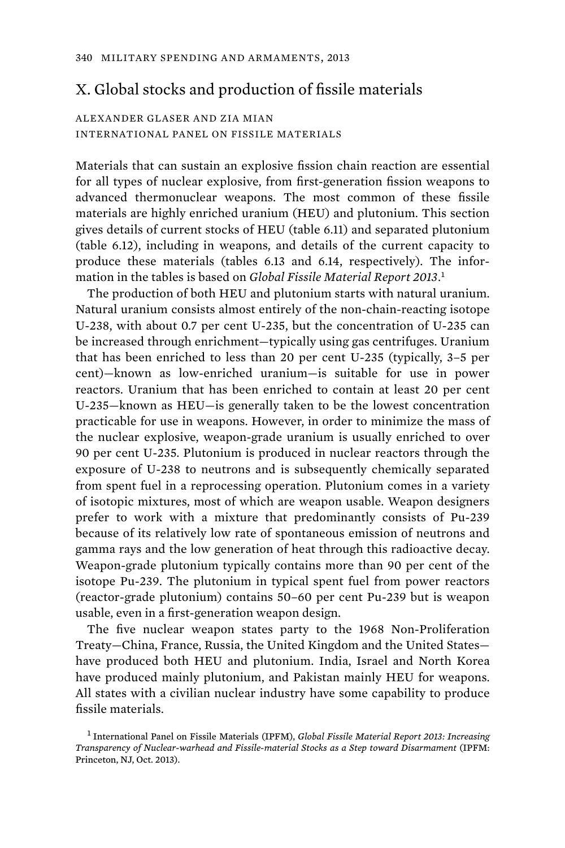## X. Global stocks and production of fissile materials

## ALEXANDER GLASER AND ZIA MIAN INTERNATIONAL PANEL ON FISSILE MATERIALS

Materials that can sustain an explosive fission chain reaction are essential for all types of nuclear explosive, from first-generation fission weapons to advanced thermonuclear weapons. The most common of these fissile materials are highly enriched uranium (HEU) and plutonium. This section gives details of current stocks of HEU (table 6.11) and separated plutonium (table 6.12), including in weapons, and details of the current capacity to produce these materials (tables 6.13 and 6.14, respectively). The information in the tables is based on *Global Fissile Material Report 2013*. 1

The production of both HEU and plutonium starts with natural uranium. Natural uranium consists almost entirely of the non-chain-reacting isotope U-238, with about 0.7 per cent U-235, but the concentration of U-235 can be increased through enrichment—typically using gas centrifuges. Uranium that has been enriched to less than 20 per cent U-235 (typically, 3–5 per cent)—known as low-enriched uranium—is suitable for use in power reactors. Uranium that has been enriched to contain at least 20 per cent U-235—known as HEU—is generally taken to be the lowest concentration practicable for use in weapons. However, in order to minimize the mass of the nuclear explosive, weapon-grade uranium is usually enriched to over 90 per cent U-235. Plutonium is produced in nuclear reactors through the exposure of U-238 to neutrons and is subsequently chemically separated from spent fuel in a reprocessing operation. Plutonium comes in a variety of isotopic mixtures, most of which are weapon usable. Weapon designers prefer to work with a mixture that predominantly consists of Pu-239 because of its relatively low rate of spontaneous emission of neutrons and gamma rays and the low generation of heat through this radioactive decay. Weapon-grade plutonium typically contains more than 90 per cent of the isotope Pu-239. The plutonium in typical spent fuel from power reactors (reactor-grade plutonium) contains 50–60 per cent Pu-239 but is weapon usable, even in a first-generation weapon design.

The five nuclear weapon states party to the 1968 Non-Proliferation Treaty—China, France, Russia, the United Kingdom and the United States have produced both HEU and plutonium. India, Israel and North Korea have produced mainly plutonium, and Pakistan mainly HEU for weapons. All states with a civilian nuclear industry have some capability to produce fissile materials.

<sup>1</sup> International Panel on Fissile Materials (IPFM), *Global Fissile Material Report 2013: Increasing Transparency of Nuclear-warhead and Fissile-material Stocks as a Step toward Disarmament* (IPFM: Princeton, NJ, Oct. 2013).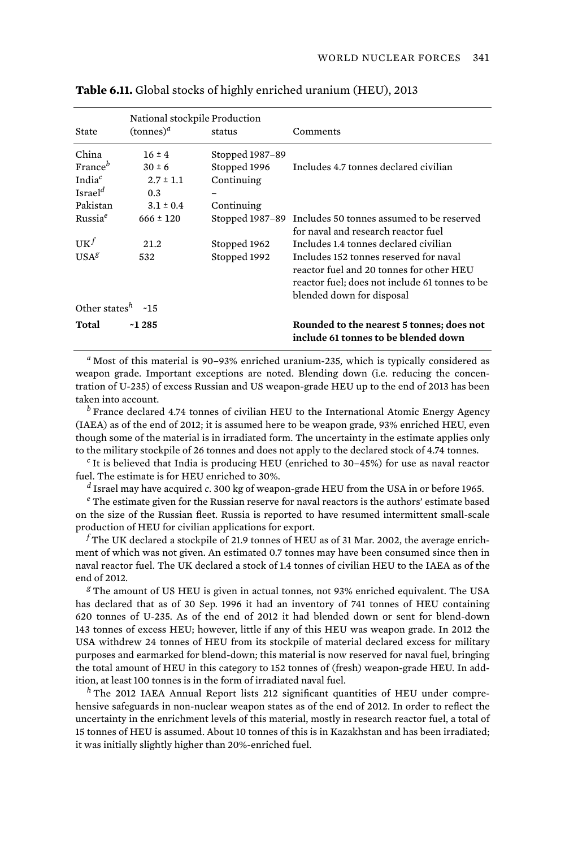|                           | National stockpile Production |                 |                                                                                                                                                                   |  |
|---------------------------|-------------------------------|-----------------|-------------------------------------------------------------------------------------------------------------------------------------------------------------------|--|
| State                     | $(\text{tonnes})^a$           | status          | Comments                                                                                                                                                          |  |
| China                     | $16 \pm 4$                    | Stopped 1987-89 |                                                                                                                                                                   |  |
| France <sup>b</sup>       | $30 \pm 6$                    | Stopped 1996    | Includes 4.7 tonnes declared civilian                                                                                                                             |  |
| India $^c$                | $2.7 \pm 1.1$                 | Continuing      |                                                                                                                                                                   |  |
| Israel <sup>d</sup>       | 0.3                           | -               |                                                                                                                                                                   |  |
| Pakistan                  | $3.1 \pm 0.4$                 | Continuing      |                                                                                                                                                                   |  |
| Russia <sup>e</sup>       | $666 \pm 120$                 |                 | Stopped 1987-89 Includes 50 tonnes assumed to be reserved<br>for naval and research reactor fuel                                                                  |  |
| $\mathbf{U} \mathbf{K}^f$ | 21.2                          | Stopped 1962    | Includes 1.4 tonnes declared civilian                                                                                                                             |  |
| USA <sup>g</sup>          | 532                           | Stopped 1992    | Includes 152 tonnes reserved for naval<br>reactor fuel and 20 tonnes for other HEU<br>reactor fuel; does not include 61 tonnes to be<br>blended down for disposal |  |
| Other states $h$ ~15      |                               |                 |                                                                                                                                                                   |  |
| Total                     | $-1285$                       |                 | Rounded to the nearest 5 tonnes; does not<br>include 61 tonnes to be blended down                                                                                 |  |

|  |  | Table 6.11. Global stocks of highly enriched uranium (HEU), 2013 |  |
|--|--|------------------------------------------------------------------|--|
|--|--|------------------------------------------------------------------|--|

*a* Most of this material is 90–93% enriched uranium-235, which is typically considered as weapon grade. Important exceptions are noted. Blending down (i.e. reducing the concentration of U-235) of excess Russian and US weapon-grade HEU up to the end of 2013 has been taken into account.

*b* France declared 4.74 tonnes of civilian HEU to the International Atomic Energy Agency (IAEA) as of the end of 2012; it is assumed here to be weapon grade, 93% enriched HEU, even though some of the material is in irradiated form. The uncertainty in the estimate applies only to the military stockpile of 26 tonnes and does not apply to the declared stock of 4.74 tonnes.

*c* It is believed that India is producing HEU (enriched to 30–45%) for use as naval reactor fuel. The estimate is for HEU enriched to 30%.

*d* Israel may have acquired *c*. 300 kg of weapon-grade HEU from the USA in or before 1965.

<sup>e</sup> The estimate given for the Russian reserve for naval reactors is the authors' estimate based on the size of the Russian fleet. Russia is reported to have resumed intermittent small-scale production of HEU for civilian applications for export.

 $^f$ The UK declared a stockpile of 21.9 tonnes of HEU as of 31 Mar. 2002, the average enrichment of which was not given. An estimated 0.7 tonnes may have been consumed since then in naval reactor fuel. The UK declared a stock of 1.4 tonnes of civilian HEU to the IAEA as of the end of 2012.

*g* The amount of US HEU is given in actual tonnes, not 93% enriched equivalent. The USA has declared that as of 30 Sep. 1996 it had an inventory of 741 tonnes of HEU containing 620 tonnes of U-235. As of the end of 2012 it had blended down or sent for blend-down 143 tonnes of excess HEU; however, little if any of this HEU was weapon grade. In 2012 the USA withdrew 24 tonnes of HEU from its stockpile of material declared excess for military purposes and earmarked for blend-down; this material is now reserved for naval fuel, bringing the total amount of HEU in this category to 152 tonnes of (fresh) weapon-grade HEU. In addition, at least 100 tonnes is in the form of irradiated naval fuel.

*<sup>h</sup>* The 2012 IAEA Annual Report lists 212 significant quantities of HEU under comprehensive safeguards in non-nuclear weapon states as of the end of 2012. In order to reflect the uncertainty in the enrichment levels of this material, mostly in research reactor fuel, a total of 15 tonnes of HEU is assumed. About 10 tonnes of this is in Kazakhstan and has been irradiated; it was initially slightly higher than 20%-enriched fuel.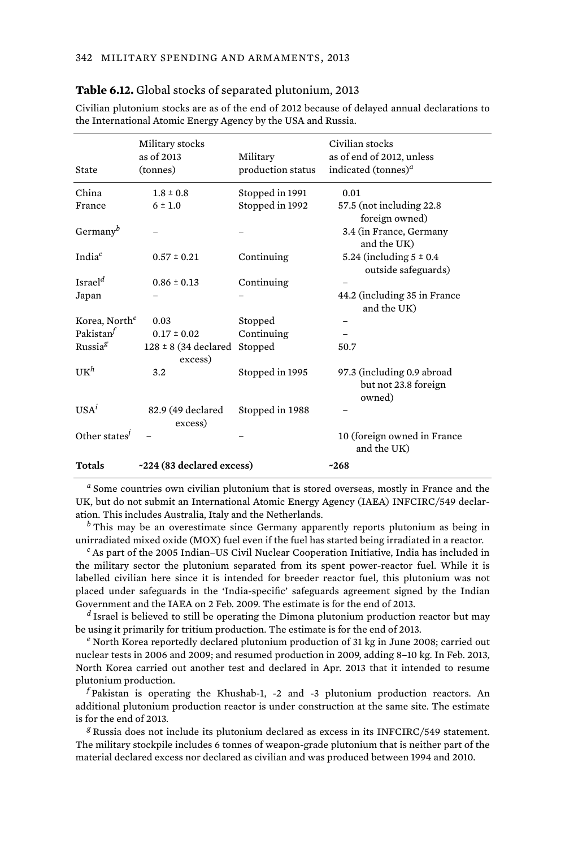| State                     | Military stocks<br>as of 2013<br>(tonnes)   | Military<br>production status | Civilian stocks<br>as of end of 2012, unless<br>indicated (tonnes) <sup><i>a</i></sup> |
|---------------------------|---------------------------------------------|-------------------------------|----------------------------------------------------------------------------------------|
| China                     | $1.8 \pm 0.8$                               | Stopped in 1991               | 0.01                                                                                   |
| France                    | $6 \pm 1.0$                                 | Stopped in 1992               | 57.5 (not including 22.8)<br>foreign owned)                                            |
| Germany $^b$              |                                             |                               | 3.4 (in France, Germany<br>and the UK)                                                 |
| India <sup>c</sup>        | $0.57 \pm 0.21$                             | Continuing                    | 5.24 (including $5 \pm 0.4$ )<br>outside safeguards)                                   |
| Israel <sup>d</sup>       | $0.86 \pm 0.13$                             | Continuing                    |                                                                                        |
| Japan                     |                                             |                               | 44.2 (including 35 in France<br>and the UK)                                            |
| Korea, North <sup>e</sup> | 0.03                                        | Stopped                       |                                                                                        |
| Pakistan $^f$             | $0.17 \pm 0.02$                             | Continuing                    |                                                                                        |
| Russia <sup>g</sup>       | $128 \pm 8$ (34 declared Stopped<br>excess) |                               | 50.7                                                                                   |
| $U K^h$                   | 3.2                                         | Stopped in 1995               | 97.3 (including 0.9 abroad<br>but not 23.8 foreign<br>owned)                           |
| USA <sup>i</sup>          | 82.9 (49 declared<br>excess)                | Stopped in 1988               |                                                                                        |
| Other states <sup>j</sup> |                                             |                               | 10 (foreign owned in France<br>and the UK)                                             |
| <b>Totals</b>             | ~224 (83 declared excess)                   |                               | $-268$                                                                                 |

**Table 6.12.** Global stocks of separated plutonium, 2013

Civilian plutonium stocks are as of the end of 2012 because of delayed annual declarations to the International Atomic Energy Agency by the USA and Russia.

*a* Some countries own civilian plutonium that is stored overseas, mostly in France and the UK, but do not submit an International Atomic Energy Agency (IAEA) INFCIRC/549 declaration. This includes Australia, Italy and the Netherlands.

*b* This may be an overestimate since Germany apparently reports plutonium as being in unirradiated mixed oxide (MOX) fuel even if the fuel has started being irradiated in a reactor.

*c* As part of the 2005 Indian–US Civil Nuclear Cooperation Initiative, India has included in the military sector the plutonium separated from its spent power-reactor fuel. While it is labelled civilian here since it is intended for breeder reactor fuel, this plutonium was not placed under safeguards in the 'India-specific' safeguards agreement signed by the Indian Government and the IAEA on 2 Feb. 2009. The estimate is for the end of 2013.

*d* Israel is believed to still be operating the Dimona plutonium production reactor but may be using it primarily for tritium production. The estimate is for the end of 2013.

*e* North Korea reportedly declared plutonium production of 31 kg in June 2008; carried out nuclear tests in 2006 and 2009; and resumed production in 2009, adding 8–10 kg. In Feb. 2013, North Korea carried out another test and declared in Apr. 2013 that it intended to resume plutonium production.

*f* Pakistan is operating the Khushab-1, -2 and -3 plutonium production reactors. An additional plutonium production reactor is under construction at the same site. The estimate is for the end of 2013.

*g* Russia does not include its plutonium declared as excess in its INFCIRC/549 statement. The military stockpile includes 6 tonnes of weapon-grade plutonium that is neither part of the material declared excess nor declared as civilian and was produced between 1994 and 2010.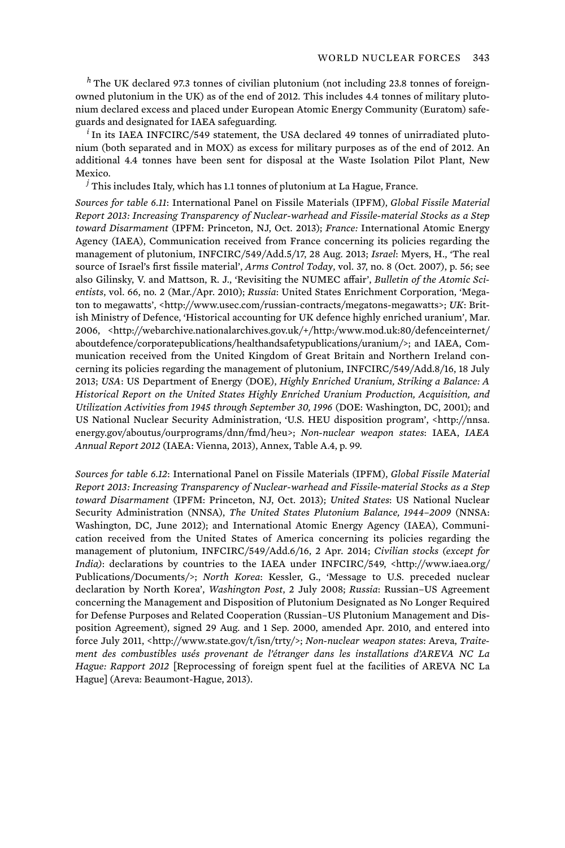*<sup>h</sup>* The UK declared 97.3 tonnes of civilian plutonium (not including 23.8 tonnes of foreignowned plutonium in the UK) as of the end of 2012. This includes 4.4 tonnes of military plutonium declared excess and placed under European Atomic Energy Community (Euratom) safeguards and designated for IAEA safeguarding.

*i* In its IAEA INFCIRC/549 statement, the USA declared 49 tonnes of unirradiated plutonium (both separated and in MOX) as excess for military purposes as of the end of 2012. An additional 4.4 tonnes have been sent for disposal at the Waste Isolation Pilot Plant, New Mexico.

*j* This includes Italy, which has 1.1 tonnes of plutonium at La Hague, France.

*Sources for table 6.11*: International Panel on Fissile Materials (IPFM), *Global Fissile Material Report 2013: Increasing Transparency of Nuclear-warhead and Fissile-material Stocks as a Step toward Disarmament* (IPFM: Princeton, NJ, Oct. 2013); *France:* International Atomic Energy Agency (IAEA), Communication received from France concerning its policies regarding the management of plutonium, INFCIRC/549/Add.5/17, 28 Aug. 2013; *Israel*: Myers, H., 'The real source of Israel's first fissile material', *Arms Control Today*, vol. 37, no. 8 (Oct. 2007), p. 56; see also Gilinsky, V. and Mattson, R. J., 'Revisiting the NUMEC affair', *Bulletin of the Atomic Scientists*, vol. 66, no. 2 (Mar./Apr. 2010); *Russia*: United States Enrichment Corporation, 'Megaton to megawatts', <http://www.usec.com/russian-contracts/megatons-megawatts>; *UK*: British Ministry of Defence, 'Historical accounting for UK defence highly enriched uranium', Mar. 2006, <http://webarchive.nationalarchives.gov.uk/+/http:/www.mod.uk:80/defenceinternet/ aboutdefence/corporatepublications/healthandsafetypublications/uranium/>; and IAEA, Communication received from the United Kingdom of Great Britain and Northern Ireland concerning its policies regarding the management of plutonium, INFCIRC/549/Add.8/16, 18 July 2013; *USA*: US Department of Energy (DOE), *Highly Enriched Uranium, Striking a Balance: A Historical Report on the United States Highly Enriched Uranium Production, Acquisition, and Utilization Activities from 1945 through September 30, 1996* (DOE: Washington, DC, 2001); and US National Nuclear Security Administration, 'U.S. HEU disposition program', <http://nnsa. energy.gov/aboutus/ourprograms/dnn/fmd/heu>; *Non-nuclear weapon states*: IAEA, *IAEA Annual Report 2012* (IAEA: Vienna, 2013), Annex, Table A.4, p. 99.

*Sources for table 6.12*: International Panel on Fissile Materials (IPFM), *Global Fissile Material Report 2013: Increasing Transparency of Nuclear-warhead and Fissile-material Stocks as a Step toward Disarmament* (IPFM: Princeton, NJ, Oct. 2013); *United States*: US National Nuclear Security Administration (NNSA), *The United States Plutonium Balance, 1944–2009* (NNSA: Washington, DC, June 2012); and International Atomic Energy Agency (IAEA), Communication received from the United States of America concerning its policies regarding the management of plutonium, INFCIRC/549/Add.6/16, 2 Apr. 2014; *Civilian stocks (except for India)*: declarations by countries to the IAEA under INFCIRC/549, <http://www.iaea.org/ Publications/Documents/>; *North Korea*: Kessler, G., 'Message to U.S. preceded nuclear declaration by North Korea', *Washington Post*, 2 July 2008; *Russia*: Russian–US Agreement concerning the Management and Disposition of Plutonium Designated as No Longer Required for Defense Purposes and Related Cooperation (Russian–US Plutonium Management and Disposition Agreement), signed 29 Aug. and 1 Sep. 2000, amended Apr. 2010, and entered into force July 2011, <http://www.state.gov/t/isn/trty/>; *Non-nuclear weapon states*: Areva, *Traitement des combustibles usés provenant de l'étranger dans les installations d'AREVA NC La Hague: Rapport 2012* [Reprocessing of foreign spent fuel at the facilities of AREVA NC La Hague] (Areva: Beaumont-Hague, 2013).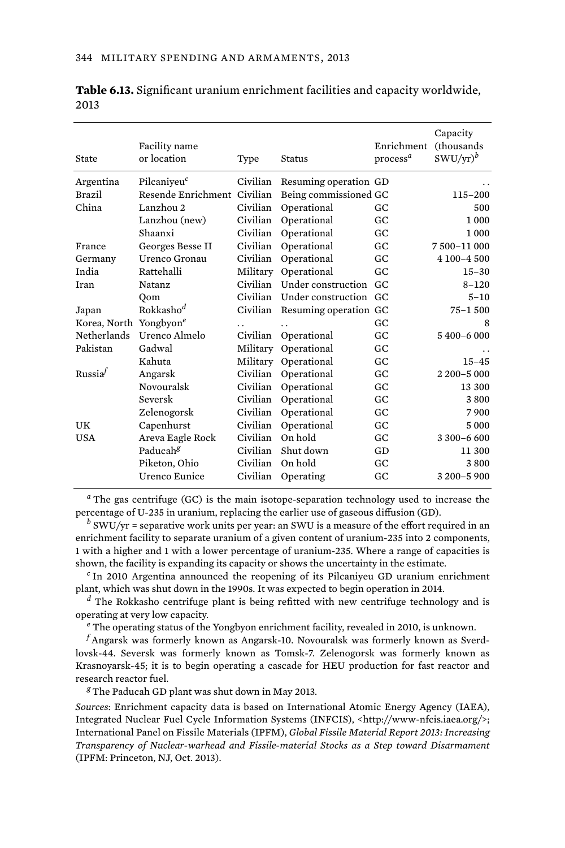| State                              | Facility name<br>or location | Type     | <b>Status</b>         | Enrichment<br>process <sup>a</sup> | Capacity<br>(thousands<br>$SWU/yr)^b$ |
|------------------------------------|------------------------------|----------|-----------------------|------------------------------------|---------------------------------------|
| Argentina                          | Pilcaniyeu <sup>c</sup>      | Civilian | Resuming operation GD |                                    |                                       |
| <b>Brazil</b>                      | Resende Enrichment Civilian  |          | Being commissioned GC |                                    | $115 - 200$                           |
| China                              | Lanzhou 2                    | Civilian | Operational           | GC                                 | 500                                   |
|                                    | Lanzhou (new)                | Civilian | Operational           | GC                                 | 1 0 0 0                               |
|                                    | Shaanxi                      | Civilian | Operational           | GC.                                | 1 000                                 |
| France                             | Georges Besse II             | Civilian | Operational           | GC                                 | 7500-11000                            |
| Germany                            | Urenco Gronau                | Civilian | Operational           | GC                                 | 4 100-4 500                           |
| India                              | Rattehalli                   | Military | Operational           | GC                                 | $15 - 30$                             |
| Iran                               | <b>Natanz</b>                | Civilian | Under construction    | GC.                                | $8 - 120$                             |
|                                    | Oom                          | Civilian | Under construction GC |                                    | $5 - 10$                              |
| Japan                              | Rokkasho <sup>d</sup>        | Civilian | Resuming operation GC |                                    | $75 - 1500$                           |
| Korea, North Yongbyon <sup>e</sup> |                              |          | $\ddot{\phantom{0}}$  | GC.                                | 8                                     |
| Netherlands                        | Urenco Almelo                | Civilian | Operational           | GC                                 | 5 400-6 000                           |
| Pakistan                           | Gadwal                       | Military | Operational           | GC                                 |                                       |
|                                    | Kahuta                       | Military | Operational           | GC                                 | $15 - 45$                             |
| Russia <sup>f</sup>                | Angarsk                      | Civilian | Operational           | GC                                 | 2 200-5 000                           |
|                                    | Novouralsk                   | Civilian | Operational           | GC                                 | 13 300                                |
|                                    | Seversk                      | Civilian | Operational           | GC                                 | 3800                                  |
|                                    | Zelenogorsk                  | Civilian | Operational           | GC                                 | 7900                                  |
| UK                                 | Capenhurst                   | Civilian | Operational           | GC                                 | 5 0 0 0                               |
| <b>USA</b>                         | Areva Eagle Rock             | Civilian | On hold               | GC                                 | 3 300-6 600                           |
|                                    | Paducah <sup>g</sup>         | Civilian | Shut down             | GD                                 | 11 300                                |
|                                    | Piketon, Ohio                | Civilian | On hold               | GC                                 | 3800                                  |
|                                    | Urenco Eunice                | Civilian | Operating             | GC                                 | 3 200-5 900                           |

**Table 6.13.** Significant uranium enrichment facilities and capacity worldwide, 2013

*a* The gas centrifuge (GC) is the main isotope-separation technology used to increase the percentage of U-235 in uranium, replacing the earlier use of gaseous diffusion (GD).

*b* SWU/yr = separative work units per year: an SWU is a measure of the effort required in an enrichment facility to separate uranium of a given content of uranium-235 into 2 components, 1 with a higher and 1 with a lower percentage of uranium-235. Where a range of capacities is shown, the facility is expanding its capacity or shows the uncertainty in the estimate.

*c* In 2010 Argentina announced the reopening of its Pilcaniyeu GD uranium enrichment plant, which was shut down in the 1990s. It was expected to begin operation in 2014.

*d* The Rokkasho centrifuge plant is being refitted with new centrifuge technology and is operating at very low capacity.

*e* The operating status of the Yongbyon enrichment facility, revealed in 2010, is unknown.

*f* Angarsk was formerly known as Angarsk-10. Novouralsk was formerly known as Sverdlovsk-44. Seversk was formerly known as Tomsk-7. Zelenogorsk was formerly known as Krasnoyarsk-45; it is to begin operating a cascade for HEU production for fast reactor and research reactor fuel.

*<sup>g</sup>*The Paducah GD plant was shut down in May 2013.

*Sources*: Enrichment capacity data is based on International Atomic Energy Agency (IAEA), Integrated Nuclear Fuel Cycle Information Systems (INFCIS), <http://www-nfcis.iaea.org/>; International Panel on Fissile Materials (IPFM), *Global Fissile Material Report 2013: Increasing Transparency of Nuclear-warhead and Fissile-material Stocks as a Step toward Disarmament* (IPFM: Princeton, NJ, Oct. 2013).